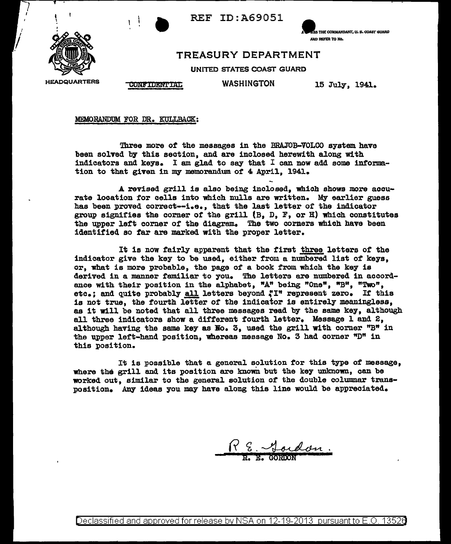

t

**THE COMMANDANT, U. S. COAST GUARD** AND REFER TO No.

## TREASURY DEPARTMENT

UNITED STATES COAST GUARD

HEADQUARTERS CONFIDENTIAL

WASHINGTON 15 July, 1941.

MEMORANDUM FOR DR. KULLBACK:

Three more of the messages in the BRAJOB-VOLCO system have been solved by this section, and are inclosed herewith along with indicators and keys. I am glad to say that  $I$  can now add some information to that given in my memorandum of 4 April, 1941.

A revised grill is also being inclosed, which shows more accurate location for cells into which nulls are written. My earlier guess has been proved correct--i.e., that the last letter *ot* the indicator group signifies the corner of the grill  $(B, D, F, or H)$  which constitutes the upper left corner of the diagram. The two corners which have been identified so tar are marked with the proper letter.

It is now fairly apparent that the first three letters of the indicator give the key to be used, either from a numbered list of keys, or, what is more probable, the page of a book from which the key is derived in a manner familiar to you. The letters are numbered in accordance with their position in the alphabet, "A" being "One", "B", "Two", etc.; and quite probably all letters beyond "I" represent zero. If this is not true, the fourth letter of the indicator is entirely meaningless, as it will be noted that all three massages read by the same key, although all three indicators show a different fourth letter. Message 1 and 2. although having the same key as No. 3, used the grill with corner "B" in the upper left-hand position, whereas message No. 3 had corner "D" in this position.

It is possible that a general solution tor this type of message, where the grill and its position are known but the key unknown, can be worked out, similar to the general solution of the double columnar transposition. Any ideas you may have a1ong this line would be appreciated.

ardon.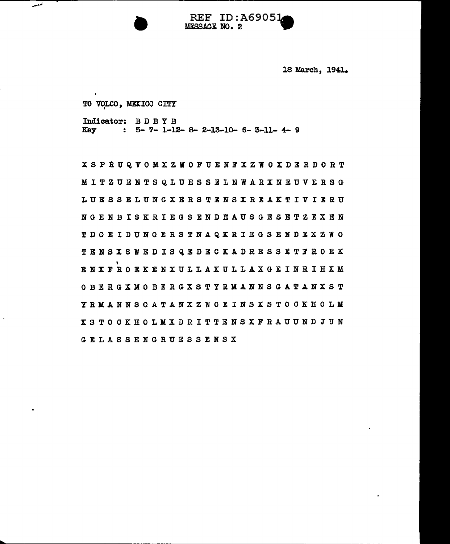**REF ID: A69051 MESSAGE NO. 2** 

18 March, 1941.

TO VOLCO, MEXICO CITY

فسعد

Indicator:  $B$  D B Y B<br>Key :  $5 - 7 - 1 - 13$  $\therefore$  5- 7- 1-12- 8- 2-13-10- 6- 3-11- 4- 9

XSPRUQVOMXZWOFUENFXZWOXDERDORT MITZUENTSQLUESSELNWARXNEUVERSG LUESSELUNGXERSTENSXREAKTIVIERU NGENBISKRIEGSENDEAUSGESETZEXEN TDGEIDUNGERSTNAQKRIEGSENDEXZWO TENSXSWEDISQEDECKADRESSETFROEK , ENXFROEKENXULLAXULLAXGEINRIHXM OBERGXMOBERGXSTYRMANNSGATANXST YRMANNSGATANXZWOEINSXSTOCKHOLK XS TO CKHOLMXDRITTENSXFRAUUND JUN GELASSENGRUESSENSX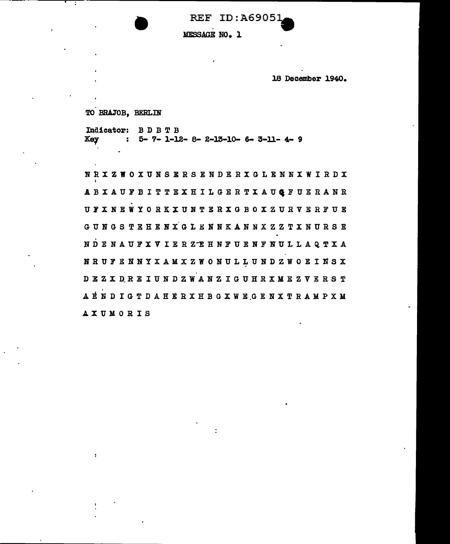**REF ID: A69051** 

MESSAGE NO. 1

18 December 1940.

TO BRAJOB, BERLIN

Indicator: BDBTB **Key**  $5 - 7 - 1 - 12 - 8 - 2 - 13 - 10 - 6 - 3 - 11 - 4 - 9$ 

NRXZWOXUNSERSENDERXGLENNXWIRDX ABXAUFBITTEXHILGERTXAUGFUERANR UFXNEWYORKXUNTERXGBOXZURVERFUE GUNGS TEHENX GLENNKANNXZZTXNURSE NDENAUFXVIERZEHNFUENFNULLAQTXA NRUFENNYXAMXZWONULLUNDZWOEINSX DEZXDREIUNDZWANZIGUHRXMEZVERST AENDIGTDAHERXHBGXWEGENXTRAMPXM **AXUMORIS**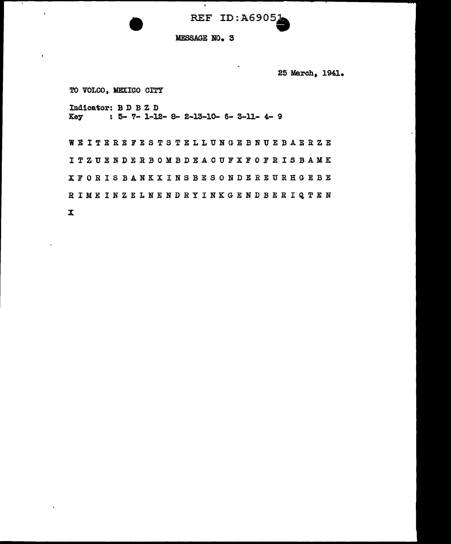REF ID:A69051

### MESSAGE NO. 3

 $\overline{\bullet}$ 

25 March, 1941.

TO VOLCO, MEXICO CITY

Indicator: B D B Z D  $: 5 - 7 - 1 - 12 - 8 - 2 - 13 - 10 - 6 - 3 - 11 - 4 - 9$ Key

WEITEREFESTSTELLUNGEBNUEBAERZE I TZ UE NDERBOMBDEACUFXFOFRISBAMK XFORIS BANKXINS BESONDEREURHGEBE RIMEINZELNENDRYINKGENDBERIQTEN

 $\mathbf{x}$ 

 $\ddot{\phantom{a}}$ 

 $\bar{\mathbf{r}}$ 

 $\tilde{\phantom{a}}$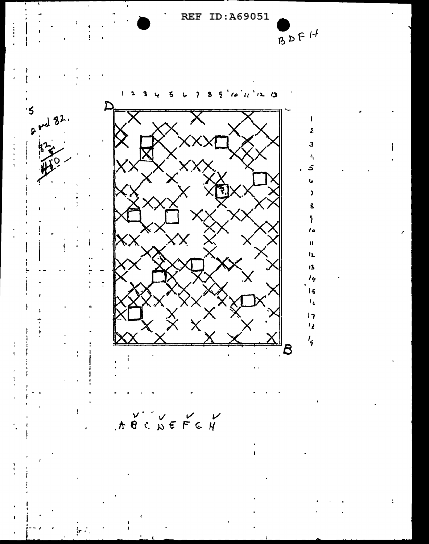REF ID:A69051

 $BDF14$ 

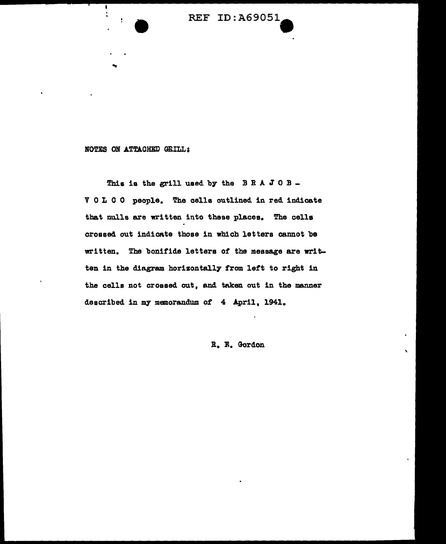

#### NOTES ON ATTACHED GRILL:

....

1

This is the grill used by the  $B R A J O B -$ V 0 L 0 0 people. The cells outlined in red indicate that nulls are written into these places. The cells crossed out indicate those in which letters cannot be written. The bonifide letters of the message are written in the diagram horizontally from left to right in the cells not crossed out, and taken out in the manner described in my memorandum of 4 April, 1941.

R. E. Gordon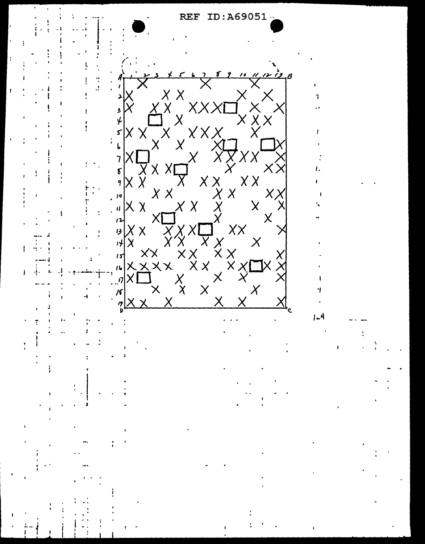